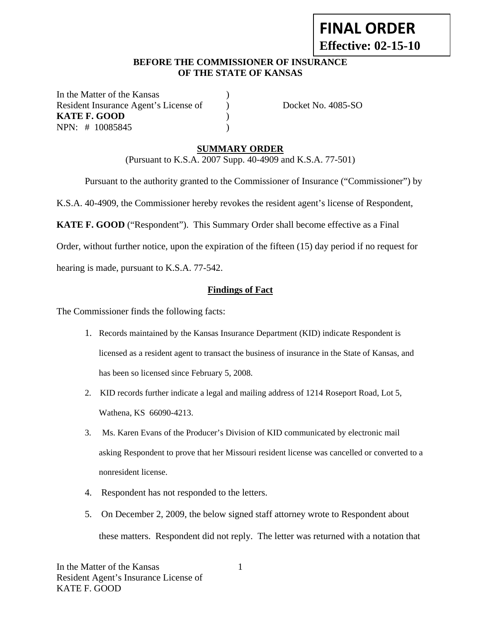# **FINAL ORDER Effective: 02-15-10**

#### **BEFORE THE COMMISSIONER OF INSURANCE OF THE STATE OF KANSAS**

In the Matter of the Kansas Resident Insurance Agent's License of ) Docket No. 4085-SO **KATE F. GOOD** ) NPN: # 10085845 )

## **SUMMARY ORDER**

(Pursuant to K.S.A. 2007 Supp. 40-4909 and K.S.A. 77-501)

Pursuant to the authority granted to the Commissioner of Insurance ("Commissioner") by

K.S.A. 40-4909, the Commissioner hereby revokes the resident agent's license of Respondent,

**KATE F. GOOD** ("Respondent"). This Summary Order shall become effective as a Final

Order, without further notice, upon the expiration of the fifteen (15) day period if no request for

hearing is made, pursuant to K.S.A. 77-542.

#### **Findings of Fact**

The Commissioner finds the following facts:

- 1. Records maintained by the Kansas Insurance Department (KID) indicate Respondent is licensed as a resident agent to transact the business of insurance in the State of Kansas, and has been so licensed since February 5, 2008.
- 2. KID records further indicate a legal and mailing address of 1214 Roseport Road, Lot 5, Wathena, KS 66090-4213.
- 3. Ms. Karen Evans of the Producer's Division of KID communicated by electronic mail asking Respondent to prove that her Missouri resident license was cancelled or converted to a nonresident license.
- 4. Respondent has not responded to the letters.
- 5. On December 2, 2009, the below signed staff attorney wrote to Respondent about these matters. Respondent did not reply. The letter was returned with a notation that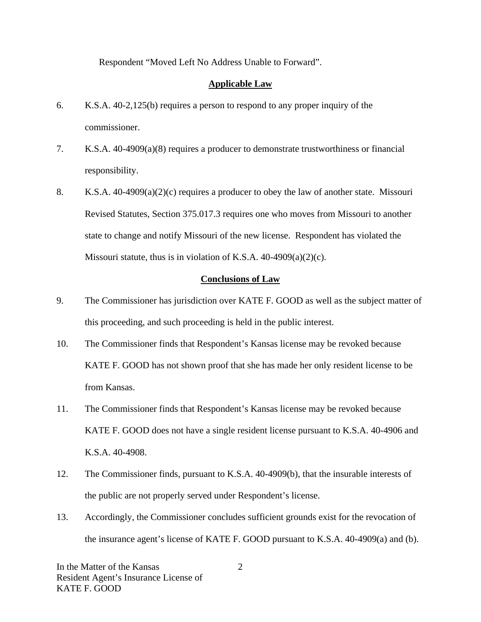Respondent "Moved Left No Address Unable to Forward".

#### **Applicable Law**

- 6. K.S.A. 40-2,125(b) requires a person to respond to any proper inquiry of the commissioner.
- 7. K.S.A. 40-4909(a)(8) requires a producer to demonstrate trustworthiness or financial responsibility.
- 8. K.S.A. 40-4909(a)(2)(c) requires a producer to obey the law of another state. Missouri Revised Statutes, Section 375.017.3 requires one who moves from Missouri to another state to change and notify Missouri of the new license. Respondent has violated the Missouri statute, thus is in violation of K.S.A. 40-4909(a)(2)(c).

#### **Conclusions of Law**

- 9. The Commissioner has jurisdiction over KATE F. GOOD as well as the subject matter of this proceeding, and such proceeding is held in the public interest.
- 10. The Commissioner finds that Respondent's Kansas license may be revoked because KATE F. GOOD has not shown proof that she has made her only resident license to be from Kansas.
- 11. The Commissioner finds that Respondent's Kansas license may be revoked because KATE F. GOOD does not have a single resident license pursuant to K.S.A. 40-4906 and K.S.A. 40-4908.
- 12. The Commissioner finds, pursuant to K.S.A. 40-4909(b), that the insurable interests of the public are not properly served under Respondent's license.
- 13. Accordingly, the Commissioner concludes sufficient grounds exist for the revocation of the insurance agent's license of KATE F. GOOD pursuant to K.S.A. 40-4909(a) and (b).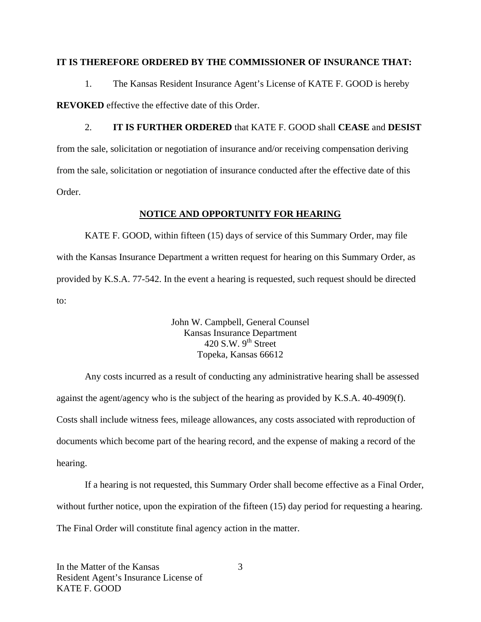#### **IT IS THEREFORE ORDERED BY THE COMMISSIONER OF INSURANCE THAT:**

1. The Kansas Resident Insurance Agent's License of KATE F. GOOD is hereby **REVOKED** effective the effective date of this Order.

2. **IT IS FURTHER ORDERED** that KATE F. GOOD shall **CEASE** and **DESIST**  from the sale, solicitation or negotiation of insurance and/or receiving compensation deriving from the sale, solicitation or negotiation of insurance conducted after the effective date of this Order.

#### **NOTICE AND OPPORTUNITY FOR HEARING**

KATE F. GOOD, within fifteen (15) days of service of this Summary Order, may file with the Kansas Insurance Department a written request for hearing on this Summary Order, as provided by K.S.A. 77-542. In the event a hearing is requested, such request should be directed to:

> John W. Campbell, General Counsel Kansas Insurance Department 420 S.W.  $9<sup>th</sup>$  Street Topeka, Kansas 66612

Any costs incurred as a result of conducting any administrative hearing shall be assessed against the agent/agency who is the subject of the hearing as provided by K.S.A. 40-4909(f). Costs shall include witness fees, mileage allowances, any costs associated with reproduction of documents which become part of the hearing record, and the expense of making a record of the hearing.

If a hearing is not requested, this Summary Order shall become effective as a Final Order, without further notice, upon the expiration of the fifteen (15) day period for requesting a hearing. The Final Order will constitute final agency action in the matter.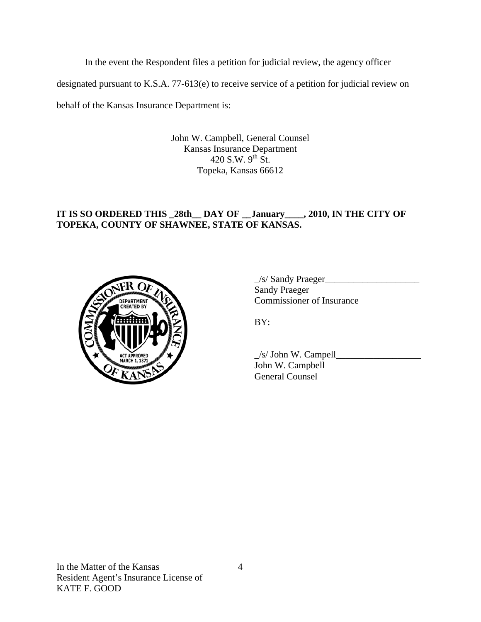In the event the Respondent files a petition for judicial review, the agency officer

designated pursuant to K.S.A. 77-613(e) to receive service of a petition for judicial review on

behalf of the Kansas Insurance Department is:

John W. Campbell, General Counsel Kansas Insurance Department 420 S.W.  $9^{th}$  St. Topeka, Kansas 66612

# **IT IS SO ORDERED THIS \_28th\_\_ DAY OF \_\_January\_\_\_\_, 2010, IN THE CITY OF TOPEKA, COUNTY OF SHAWNEE, STATE OF KANSAS.**



 $\angle$ s/ Sandy Praeger $\angle$  Sandy Praeger **COMMISSIONER COMMISSIONER OF INSURANCE** 

 $\angle$ s/ John W. Campell John W. Campbell General Counsel